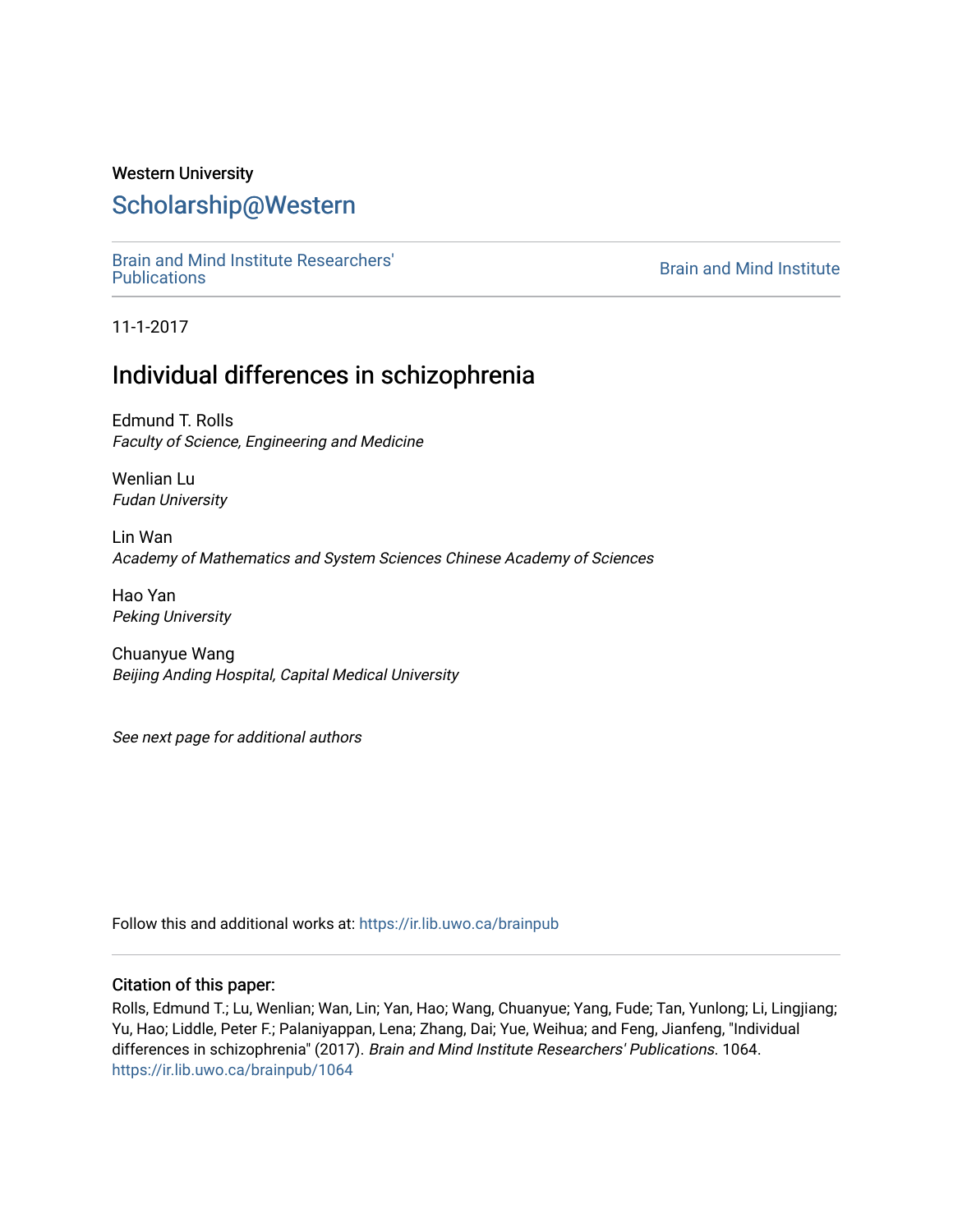# Western University [Scholarship@Western](https://ir.lib.uwo.ca/)

[Brain and Mind Institute Researchers'](https://ir.lib.uwo.ca/brainpub) 

**Brain and Mind Institute** 

11-1-2017

# Individual differences in schizophrenia

Edmund T. Rolls Faculty of Science, Engineering and Medicine

Wenlian Lu Fudan University

Lin Wan Academy of Mathematics and System Sciences Chinese Academy of Sciences

Hao Yan Peking University

Chuanyue Wang Beijing Anding Hospital, Capital Medical University

See next page for additional authors

Follow this and additional works at: [https://ir.lib.uwo.ca/brainpub](https://ir.lib.uwo.ca/brainpub?utm_source=ir.lib.uwo.ca%2Fbrainpub%2F1064&utm_medium=PDF&utm_campaign=PDFCoverPages)

# Citation of this paper:

Rolls, Edmund T.; Lu, Wenlian; Wan, Lin; Yan, Hao; Wang, Chuanyue; Yang, Fude; Tan, Yunlong; Li, Lingjiang; Yu, Hao; Liddle, Peter F.; Palaniyappan, Lena; Zhang, Dai; Yue, Weihua; and Feng, Jianfeng, "Individual differences in schizophrenia" (2017). Brain and Mind Institute Researchers' Publications. 1064. [https://ir.lib.uwo.ca/brainpub/1064](https://ir.lib.uwo.ca/brainpub/1064?utm_source=ir.lib.uwo.ca%2Fbrainpub%2F1064&utm_medium=PDF&utm_campaign=PDFCoverPages)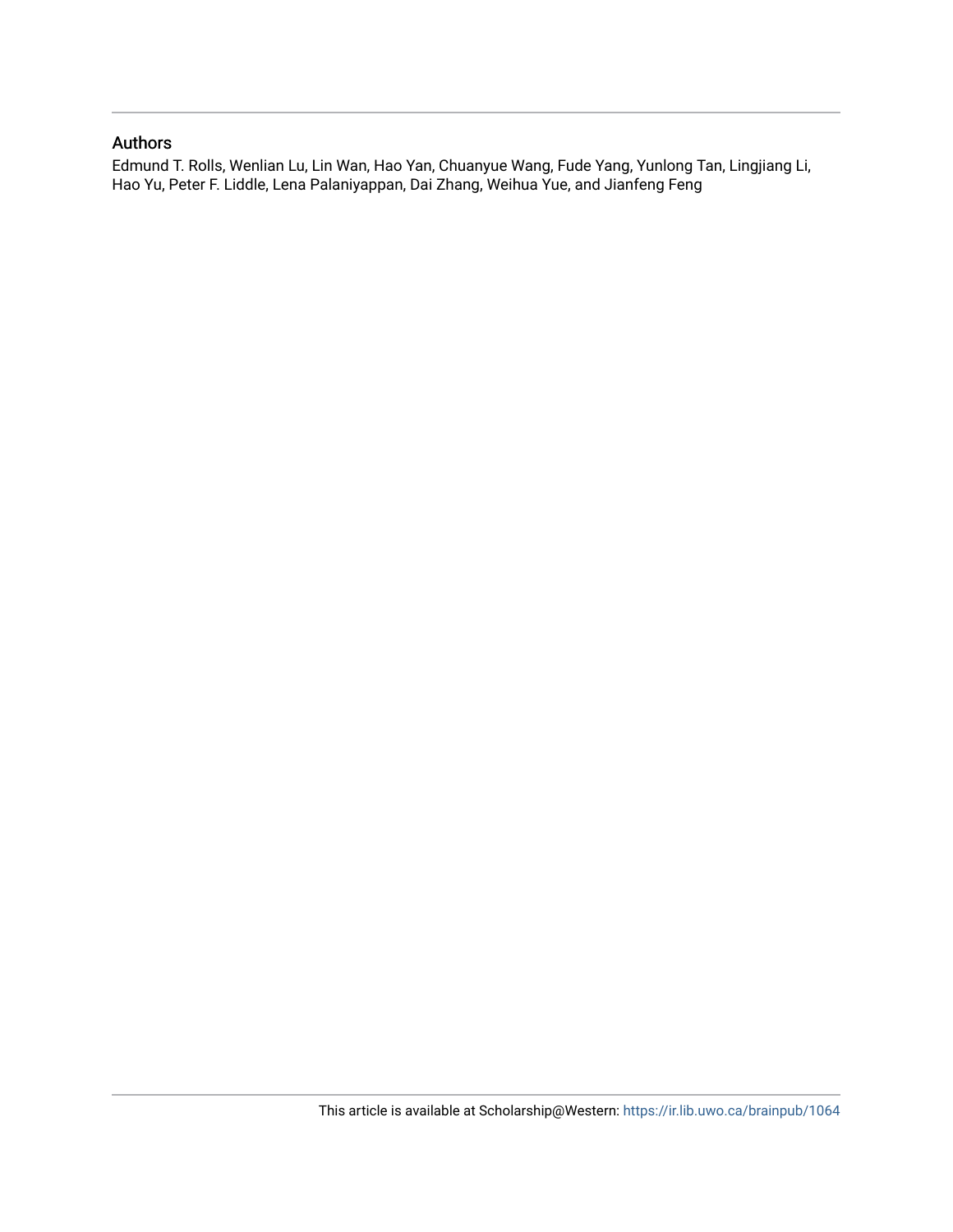# Authors

Edmund T. Rolls, Wenlian Lu, Lin Wan, Hao Yan, Chuanyue Wang, Fude Yang, Yunlong Tan, Lingjiang Li, Hao Yu, Peter F. Liddle, Lena Palaniyappan, Dai Zhang, Weihua Yue, and Jianfeng Feng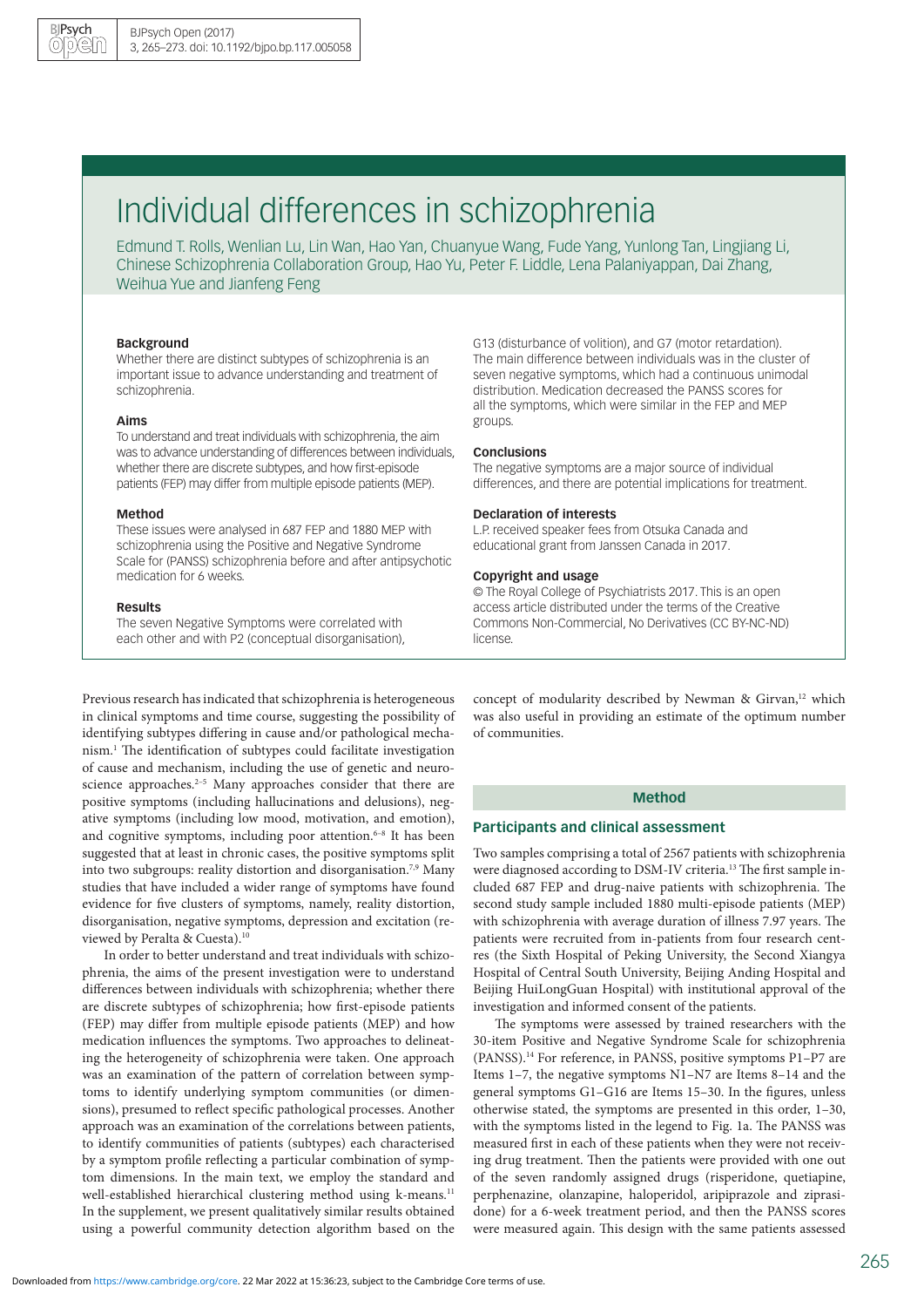# Individual differences in schizophrenia

Edmund T. Rolls, Wenlian Lu, Lin Wan, Hao Yan, Chuanyue Wang, Fude Yang, Yunlong Tan, Lingjiang Li, Chinese Schizophrenia Collaboration Group, Hao Yu, Peter F. Liddle, Lena Palaniyappan, Dai Zhang, Weihua Yue and Jianfeng Feng

#### **Background**

Whether there are distinct subtypes of schizophrenia is an important issue to advance understanding and treatment of schizophrenia.

#### **Aims**

To understand and treat individuals with schizophrenia, the aim was to advance understanding of differences between individuals, whether there are discrete subtypes, and how first-episode patients (FEP) may differ from multiple episode patients (MEP).

#### **Method**

These issues were analysed in 687 FEP and 1880 MEP with schizophrenia using the Positive and Negative Syndrome Scale for (PANSS) schizophrenia before and after antipsychotic medication for 6 weeks.

#### **Results**

The seven Negative Symptoms were correlated with each other and with P2 (conceptual disorganisation),

Previous research has indicated that schizophrenia is heterogeneous in clinical symptoms and time course, suggesting the possibility of identifying subtypes differing in cause and/or pathological mechanism.1 The identification of subtypes could facilitate investigation of cause and mechanism, including the use of genetic and neuroscience approaches.<sup>2-5</sup> Many approaches consider that there are positive symptoms (including hallucinations and delusions), negative symptoms (including low mood, motivation, and emotion), and cognitive symptoms, including poor attention.<sup>6-8</sup> It has been suggested that at least in chronic cases, the positive symptoms split into two subgroups: reality distortion and disorganisation.<sup>7,9</sup> Many studies that have included a wider range of symptoms have found evidence for five clusters of symptoms, namely, reality distortion, disorganisation, negative symptoms, depression and excitation (reviewed by Peralta & Cuesta).10

In order to better understand and treat individuals with schizophrenia, the aims of the present investigation were to understand differences between individuals with schizophrenia; whether there are discrete subtypes of schizophrenia; how first-episode patients (FEP) may differ from multiple episode patients (MEP) and how medication influences the symptoms. Two approaches to delineating the heterogeneity of schizophrenia were taken. One approach was an examination of the pattern of correlation between symptoms to identify underlying symptom communities (or dimensions), presumed to reflect specific pathological processes. Another approach was an examination of the correlations between patients, to identify communities of patients (subtypes) each characterised by a symptom profile reflecting a particular combination of symptom dimensions. In the main text, we employ the standard and well-established hierarchical clustering method using k-means.<sup>11</sup> In the supplement, we present qualitatively similar results obtained using a powerful community detection algorithm based on the

G13 (disturbance of volition), and G7 (motor retardation). The main difference between individuals was in the cluster of seven negative symptoms, which had a continuous unimodal distribution. Medication decreased the PANSS scores for all the symptoms, which were similar in the FEP and MEP groups.

#### **Conclusions**

The negative symptoms are a major source of individual differences, and there are potential implications for treatment.

#### **Declaration of interests**

L.P. received speaker fees from Otsuka Canada and educational grant from Janssen Canada in 2017.

#### **Copyright and usage**

© The Royal College of Psychiatrists 2017. This is an open access article distributed under the terms of the Creative Commons Non-Commercial, No Derivatives (CC BY-NC-ND) license.

concept of modularity described by Newman & Girvan,<sup>12</sup> which was also useful in providing an estimate of the optimum number of communities.

# **Method**

#### **Participants and clinical assessment**

Two samples comprising a total of 2567 patients with schizophrenia were diagnosed according to DSM-IV criteria.<sup>13</sup> The first sample included 687 FEP and drug-naive patients with schizophrenia. The second study sample included 1880 multi-episode patients (MEP) with schizophrenia with average duration of illness 7.97 years. The patients were recruited from in-patients from four research centres (the Sixth Hospital of Peking University, the Second Xiangya Hospital of Central South University, Beijing Anding Hospital and Beijing HuiLongGuan Hospital) with institutional approval of the investigation and informed consent of the patients.

The symptoms were assessed by trained researchers with the 30-item Positive and Negative Syndrome Scale for schizophrenia (PANSS).14 For reference, in PANSS, positive symptoms P1–P7 are Items 1–7, the negative symptoms N1–N7 are Items 8–14 and the general symptoms G1–G16 are Items 15–30. In the figures, unless otherwise stated, the symptoms are presented in this order, 1–30, with the symptoms listed in the legend to Fig. 1a. The PANSS was measured first in each of these patients when they were not receiving drug treatment. Then the patients were provided with one out of the seven randomly assigned drugs (risperidone, quetiapine, perphenazine, olanzapine, haloperidol, aripiprazole and ziprasidone) for a 6-week treatment period, and then the PANSS scores were measured again. This design with the same patients assessed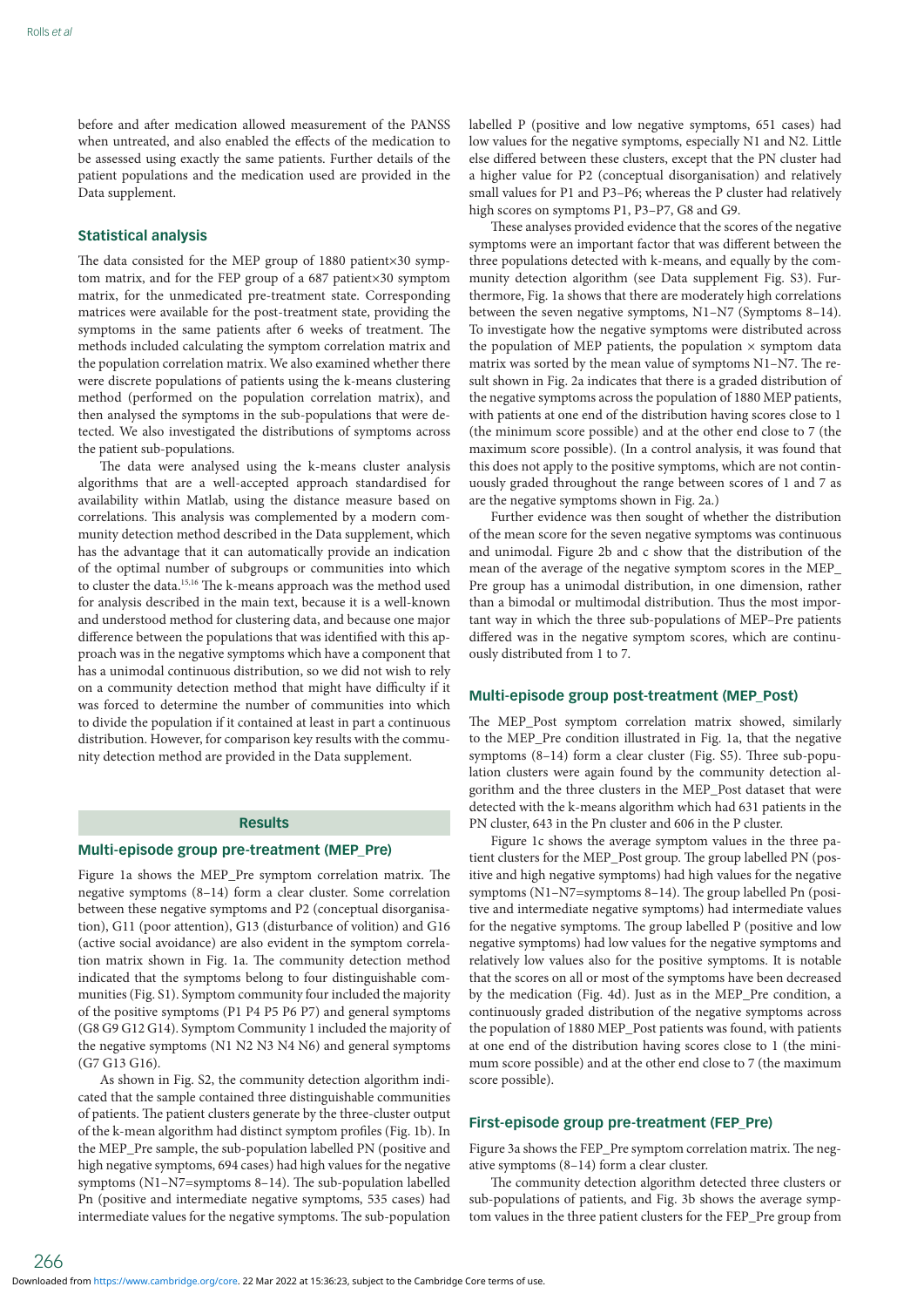before and after medication allowed measurement of the PANSS when untreated, and also enabled the effects of the medication to be assessed using exactly the same patients. Further details of the patient populations and the medication used are provided in the Data supplement.

# **Statistical analysis**

The data consisted for the MEP group of 1880 patient×30 symptom matrix, and for the FEP group of a 687 patient×30 symptom matrix, for the unmedicated pre-treatment state. Corresponding matrices were available for the post-treatment state, providing the symptoms in the same patients after 6 weeks of treatment. The methods included calculating the symptom correlation matrix and the population correlation matrix. We also examined whether there were discrete populations of patients using the k-means clustering method (performed on the population correlation matrix), and then analysed the symptoms in the sub-populations that were detected. We also investigated the distributions of symptoms across the patient sub-populations.

The data were analysed using the k-means cluster analysis algorithms that are a well-accepted approach standardised for availability within Matlab, using the distance measure based on correlations. This analysis was complemented by a modern community detection method described in the Data supplement, which has the advantage that it can automatically provide an indication of the optimal number of subgroups or communities into which to cluster the data.15,16 The k-means approach was the method used for analysis described in the main text, because it is a well-known and understood method for clustering data, and because one major difference between the populations that was identified with this approach was in the negative symptoms which have a component that has a unimodal continuous distribution, so we did not wish to rely on a community detection method that might have difficulty if it was forced to determine the number of communities into which to divide the population if it contained at least in part a continuous distribution. However, for comparison key results with the community detection method are provided in the Data supplement.

#### **Results**

#### **Multi-episode group pre-treatment (MEP\_Pre)**

[Figure 1a](#page-4-0) shows the MEP\_Pre symptom correlation matrix. The negative symptoms (8–14) form a clear cluster. Some correlation between these negative symptoms and P2 (conceptual disorganisation), G11 (poor attention), G13 (disturbance of volition) and G16 (active social avoidance) are also evident in the symptom correlation matrix shown in Fig. 1a. The community detection method indicated that the symptoms belong to four distinguishable communities (Fig. S1). Symptom community four included the majority of the positive symptoms (P1 P4 P5 P6 P7) and general symptoms (G8 G9 G12 G14). Symptom Community 1 included the majority of the negative symptoms (N1 N2 N3 N4 N6) and general symptoms (G7 G13 G16).

As shown in Fig. S2, the community detection algorithm indicated that the sample contained three distinguishable communities of patients. The patient clusters generate by the three-cluster output of the k-mean algorithm had distinct symptom profiles (Fig. 1b). In the MEP\_Pre sample, the sub-population labelled PN (positive and high negative symptoms, 694 cases) had high values for the negative symptoms (N1–N7=symptoms 8–14). The sub-population labelled Pn (positive and intermediate negative symptoms, 535 cases) had intermediate values for the negative symptoms. The sub-population

labelled P (positive and low negative symptoms, 651 cases) had low values for the negative symptoms, especially N1 and N2. Little else differed between these clusters, except that the PN cluster had a higher value for P2 (conceptual disorganisation) and relatively small values for P1 and P3–P6; whereas the P cluster had relatively high scores on symptoms P1, P3–P7, G8 and G9.

These analyses provided evidence that the scores of the negative symptoms were an important factor that was different between the three populations detected with k-means, and equally by the community detection algorithm (see Data supplement Fig. S3). Furthermore, Fig. 1a shows that there are moderately high correlations between the seven negative symptoms, N1–N7 (Symptoms 8–14). To investigate how the negative symptoms were distributed across the population of MEP patients, the population  $\times$  symptom data matrix was sorted by the mean value of symptoms N1–N7. The result shown in Fig. 2a indicates that there is a graded distribution of the negative symptoms across the population of 1880 MEP patients, with patients at one end of the distribution having scores close to 1 (the minimum score possible) and at the other end close to 7 (the maximum score possible). (In a control analysis, it was found that this does not apply to the positive symptoms, which are not continuously graded throughout the range between scores of 1 and 7 as are the negative symptoms shown in Fig. 2a.)

Further evidence was then sought of whether the distribution of the mean score for the seven negative symptoms was continuous and unimodal. [Figure 2b](#page-5-0) and [c](#page-5-0) show that the distribution of the mean of the average of the negative symptom scores in the MEP\_ Pre group has a unimodal distribution, in one dimension, rather than a bimodal or multimodal distribution. Thus the most important way in which the three sub-populations of MEP–Pre patients differed was in the negative symptom scores, which are continuously distributed from 1 to 7.

#### **Multi-episode group post-treatment (MEP\_Post)**

The MEP\_Post symptom correlation matrix showed, similarly to the MEP\_Pre condition illustrated in Fig. 1a, that the negative symptoms (8–14) form a clear cluster (Fig. S5). Three sub-population clusters were again found by the community detection algorithm and the three clusters in the MEP\_Post dataset that were detected with the k-means algorithm which had 631 patients in the PN cluster, 643 in the Pn cluster and 606 in the P cluster.

[Figure 1c](#page-4-0) shows the average symptom values in the three patient clusters for the MEP\_Post group. The group labelled PN (positive and high negative symptoms) had high values for the negative symptoms (N1–N7=symptoms 8–14). The group labelled Pn (positive and intermediate negative symptoms) had intermediate values for the negative symptoms. The group labelled P (positive and low negative symptoms) had low values for the negative symptoms and relatively low values also for the positive symptoms. It is notable that the scores on all or most of the symptoms have been decreased by the medication [\(Fig. 4d\)](#page-7-0). Just as in the MEP\_Pre condition, a continuously graded distribution of the negative symptoms across the population of 1880 MEP\_Post patients was found, with patients at one end of the distribution having scores close to 1 (the minimum score possible) and at the other end close to 7 (the maximum score possible).

#### **First-episode group pre-treatment (FEP\_Pre)**

[Figure 3a](#page-6-0) shows the FEP\_Pre symptom correlation matrix. The negative symptoms (8–14) form a clear cluster.

The community detection algorithm detected three clusters or sub-populations of patients, and [Fig. 3b](#page-6-0) shows the average symptom values in the three patient clusters for the FEP\_Pre group from

266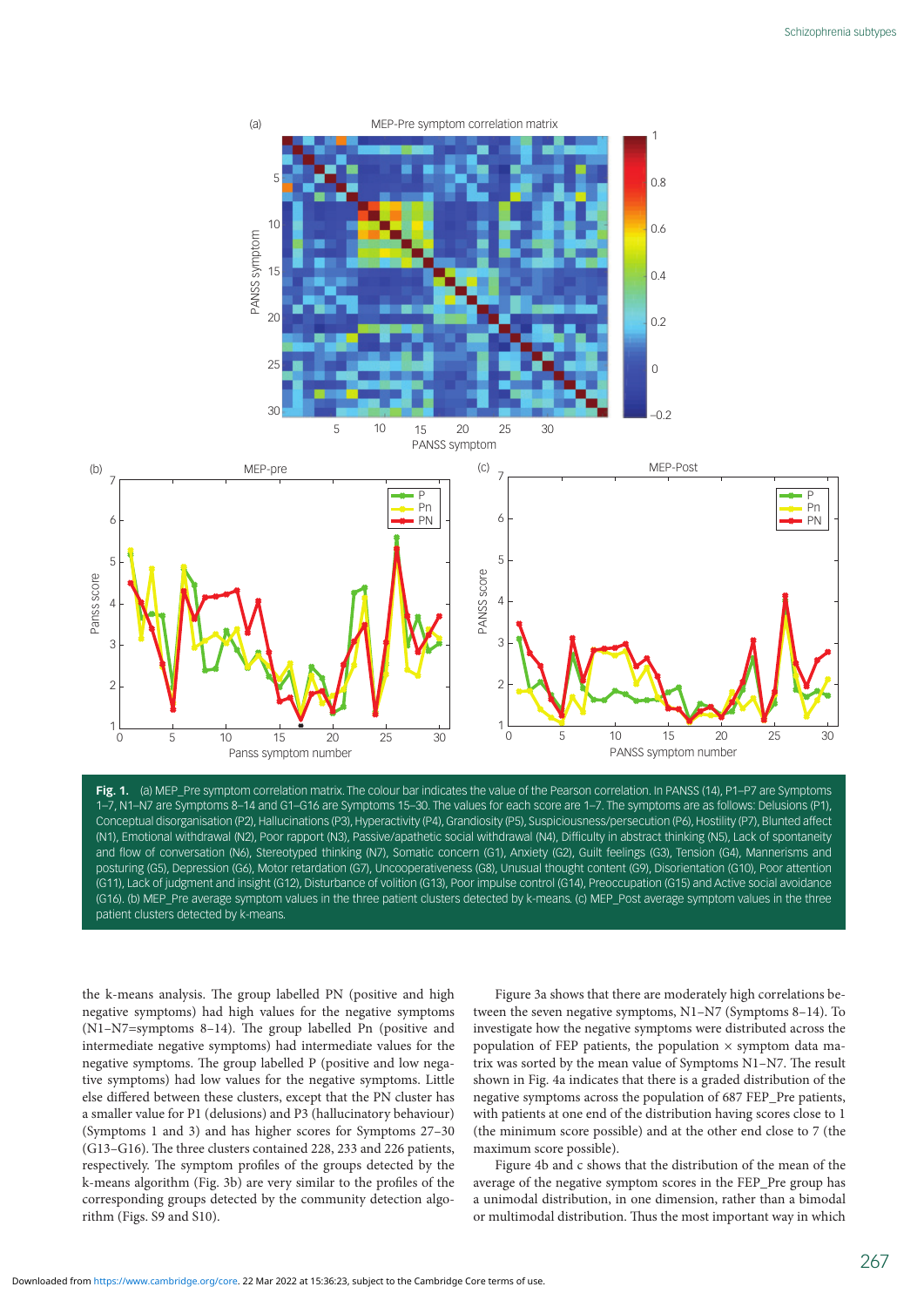

<span id="page-4-0"></span>**Fig. 1.** (a) MEP\_Pre symptom correlation matrix. The colour bar indicates the value of the Pearson correlation. In PANSS (14), P1–P7 are Symptoms 1–7, N1–N7 are Symptoms 8–14 and G1–G16 are Symptoms 15–30. The values for each score are 1–7. The symptoms are as follows: Delusions (P1), Conceptual disorganisation (P2), Hallucinations (P3), Hyperactivity (P4), Grandiosity (P5), Suspiciousness/persecution (P6), Hostility (P7), Blunted affect (N1), Emotional withdrawal (N2), Poor rapport (N3), Passive/apathetic social withdrawal (N4), Difficulty in abstract thinking (N5), Lack of spontaneity and flow of conversation (N6), Stereotyped thinking (N7), Somatic concern (G1), Anxiety (G2), Guilt feelings (G3), Tension (G4), Mannerisms and posturing (G5), Depression (G6), Motor retardation (G7), Uncooperativeness (G8), Unusual thought content (G9), Disorientation (G10), Poor attention (G11), Lack of judgment and insight (G12), Disturbance of volition (G13), Poor impulse control (G14), Preoccupation (G15) and Active social avoidance (G16). (b) MEP\_Pre average symptom values in the three patient clusters detected by k-means. (c) MEP\_Post average symptom values in the three patient clusters detected by k-means.

the k-means analysis. The group labelled PN (positive and high negative symptoms) had high values for the negative symptoms (N1–N7=symptoms 8–14). The group labelled Pn (positive and intermediate negative symptoms) had intermediate values for the negative symptoms. The group labelled P (positive and low negative symptoms) had low values for the negative symptoms. Little else differed between these clusters, except that the PN cluster has a smaller value for P1 (delusions) and P3 (hallucinatory behaviour) (Symptoms 1 and 3) and has higher scores for Symptoms 27–30 (G13–G16). The three clusters contained 228, 233 and 226 patients, respectively. The symptom profiles of the groups detected by the k-means algorithm (Fig. 3b) are very similar to the profiles of the corresponding groups detected by the community detection algorithm (Figs. S9 and S10).

[Figure 3a](#page-6-0) shows that there are moderately high correlations between the seven negative symptoms, N1–N7 (Symptoms 8–14). To investigate how the negative symptoms were distributed across the population of FEP patients, the population  $\times$  symptom data matrix was sorted by the mean value of Symptoms N1–N7. The result shown in [Fig. 4a](#page-7-0) indicates that there is a graded distribution of the negative symptoms across the population of 687 FEP\_Pre patients, with patients at one end of the distribution having scores close to 1 (the minimum score possible) and at the other end close to 7 (the maximum score possible).

[Figure 4b](#page-7-0) and [c](#page-7-0) shows that the distribution of the mean of the average of the negative symptom scores in the FEP\_Pre group has a unimodal distribution, in one dimension, rather than a bimodal or multimodal distribution. Thus the most important way in which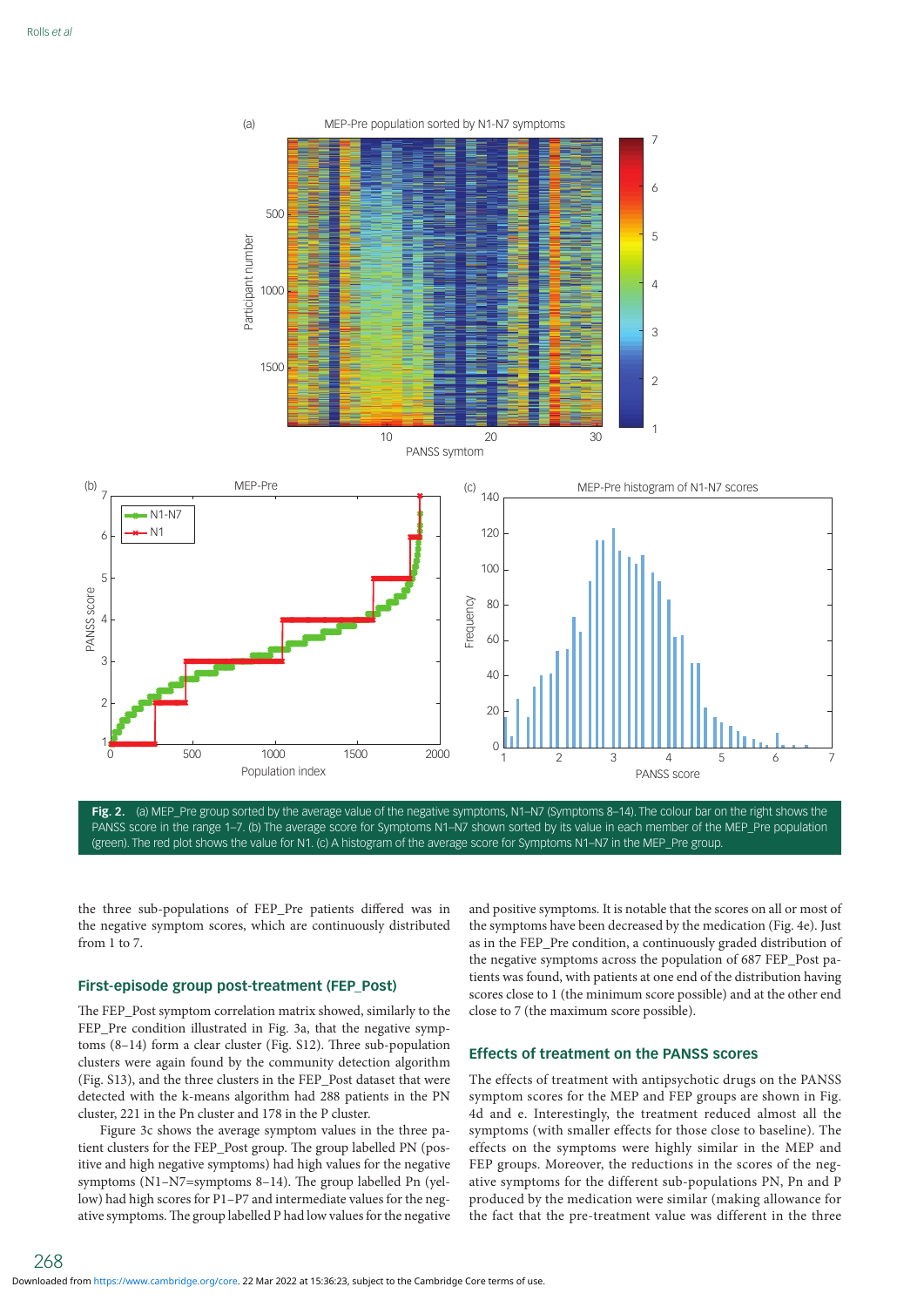

<span id="page-5-0"></span>Fig. 2. (a) MEP Pre group sorted by the average value of the negative symptoms, N1–N7 (Symptoms 8–14). The colour bar on the right shows the PANSS score in the range 1–7. (b) The average score for Symptoms N1–N7 shown sorted by its value in each member of the MEP\_Pre population (green). The red plot shows the value for N1. (c) A histogram of the average score for Symptoms N1–N7 in the MEP\_Pre group.

the three sub-populations of FEP\_Pre patients differed was in the negative symptom scores, which are continuously distributed from 1 to 7.

## **First-episode group post-treatment (FEP\_Post)**

The FEP\_Post symptom correlation matrix showed, similarly to the FEP\_Pre condition illustrated in Fig. 3a, that the negative symptoms (8–14) form a clear cluster (Fig. S12). Three sub-population clusters were again found by the community detection algorithm (Fig. S13), and the three clusters in the FEP\_Post dataset that were detected with the k-means algorithm had 288 patients in the PN cluster, 221 in the Pn cluster and 178 in the P cluster.

[Figure 3c](#page-6-0) shows the average symptom values in the three patient clusters for the FEP\_Post group. The group labelled PN (positive and high negative symptoms) had high values for the negative symptoms (N1–N7=symptoms 8–14). The group labelled Pn (yellow) had high scores for P1–P7 and intermediate values for the negative symptoms. The group labelled P had low values for the negative

268

and positive symptoms. It is notable that the scores on all or most of the symptoms have been decreased by the medication (Fig. 4e). Just as in the FEP\_Pre condition, a continuously graded distribution of the negative symptoms across the population of 687 FEP\_Post patients was found, with patients at one end of the distribution having scores close to 1 (the minimum score possible) and at the other end close to 7 (the maximum score possible).

### **Effects of treatment on the PANSS scores**

The effects of treatment with antipsychotic drugs on the PANSS symptom scores for the MEP and FEP groups are shown in Fig. 4d and e. Interestingly, the treatment reduced almost all the symptoms (with smaller effects for those close to baseline). The effects on the symptoms were highly similar in the MEP and FEP groups. Moreover, the reductions in the scores of the negative symptoms for the different sub-populations PN, Pn and P produced by the medication were similar (making allowance for the fact that the pre-treatment value was different in the three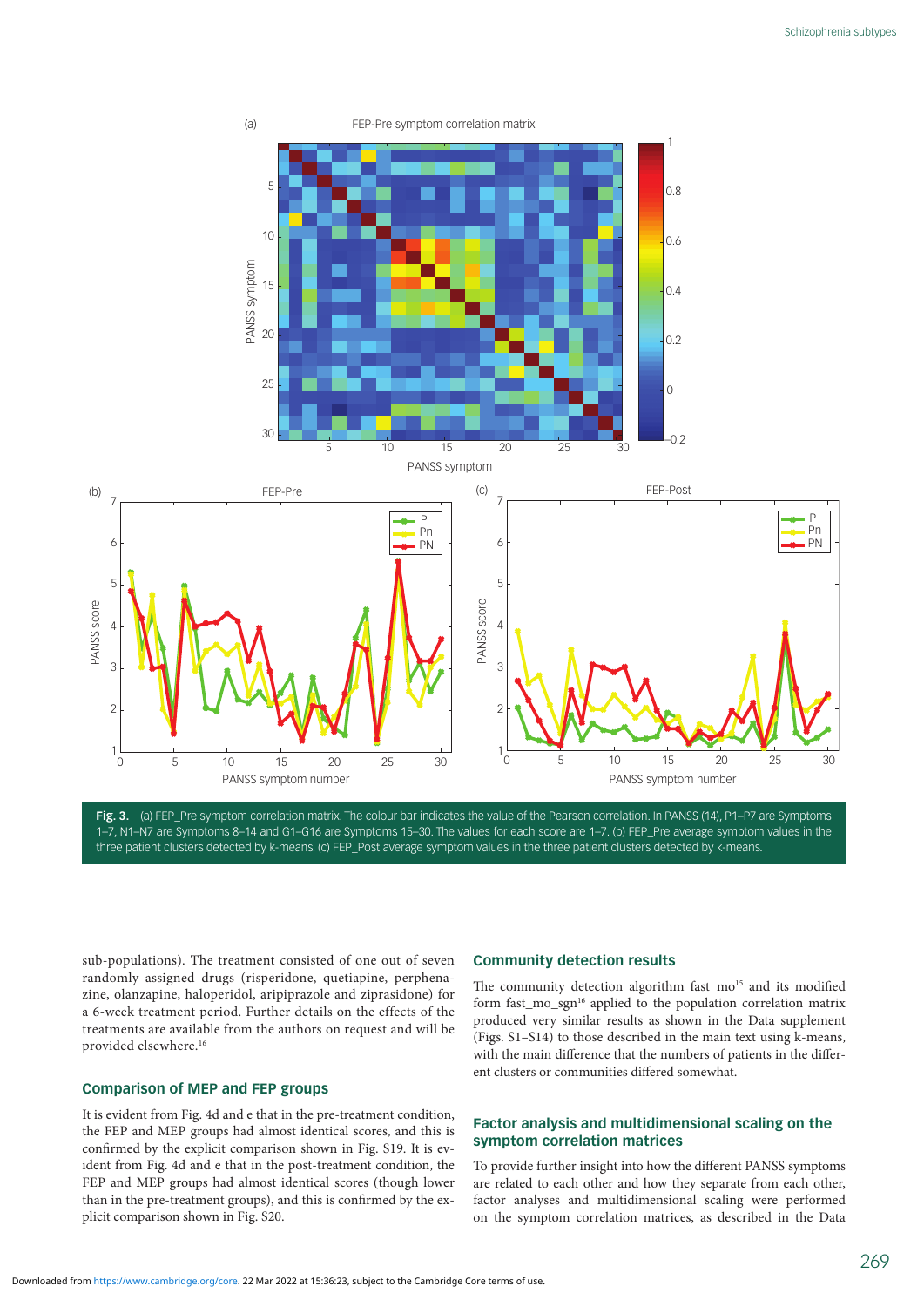

<span id="page-6-0"></span>Fig. 3. (a) FEP\_Pre symptom correlation matrix. The colour bar indicates the value of the Pearson correlation. In PANSS (14), P1–P7 are Symptoms 1–7, N1–N7 are Symptoms 8–14 and G1–G16 are Symptoms 15–30. The values for each score are 1–7. (b) FEP\_Pre average symptom values in the three patient clusters detected by k-means. (c) FEP\_Post average symptom values in the three patient clusters detected by k-means.

sub-populations). The treatment consisted of one out of seven randomly assigned drugs (risperidone, quetiapine, perphenazine, olanzapine, haloperidol, aripiprazole and ziprasidone) for a 6-week treatment period. Further details on the effects of the treatments are available from the authors on request and will be provided elsewhere.<sup>16</sup>

#### **Comparison of MEP and FEP groups**

It is evident from [Fig. 4d](#page-7-0) and [e](#page-7-0) that in the pre-treatment condition, the FEP and MEP groups had almost identical scores, and this is confirmed by the explicit comparison shown in Fig. S19. It is evident from [Fig. 4d](#page-7-0) and [e](#page-7-0) that in the post-treatment condition, the FEP and MEP groups had almost identical scores (though lower than in the pre-treatment groups), and this is confirmed by the explicit comparison shown in Fig. S20.

# **Community detection results**

The community detection algorithm fast\_mo<sup>15</sup> and its modified form fast\_mo\_sgn<sup>16</sup> applied to the population correlation matrix produced very similar results as shown in the Data supplement (Figs. S1–S14) to those described in the main text using k-means, with the main difference that the numbers of patients in the different clusters or communities differed somewhat.

# **Factor analysis and multidimensional scaling on the symptom correlation matrices**

To provide further insight into how the different PANSS symptoms are related to each other and how they separate from each other, factor analyses and multidimensional scaling were performed on the symptom correlation matrices, as described in the Data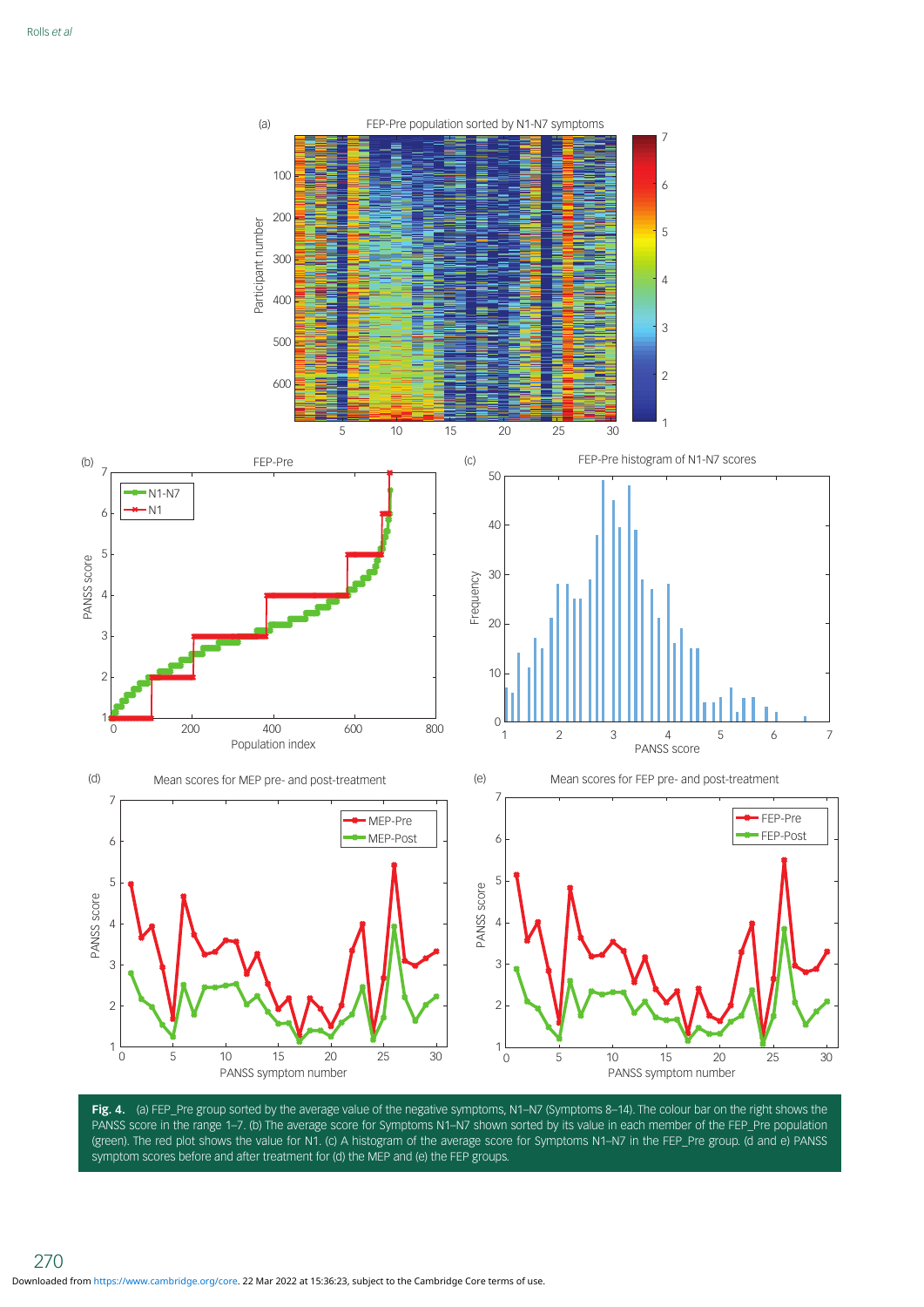

<span id="page-7-0"></span>**Fig. 4.** (a) FEP\_Pre group sorted by the average value of the negative symptoms, N1–N7 (Symptoms 8–14). The colour bar on the right shows the PANSS score in the range 1–7. (b) The average score for Symptoms N1–N7 shown sorted by its value in each member of the FEP\_Pre population (green). The red plot shows the value for N1. (c) A histogram of the average score for Symptoms N1–N7 in the FEP\_Pre group. (d and e) PANSS symptom scores before and after treatment for (d) the MEP and (e) the FEP groups.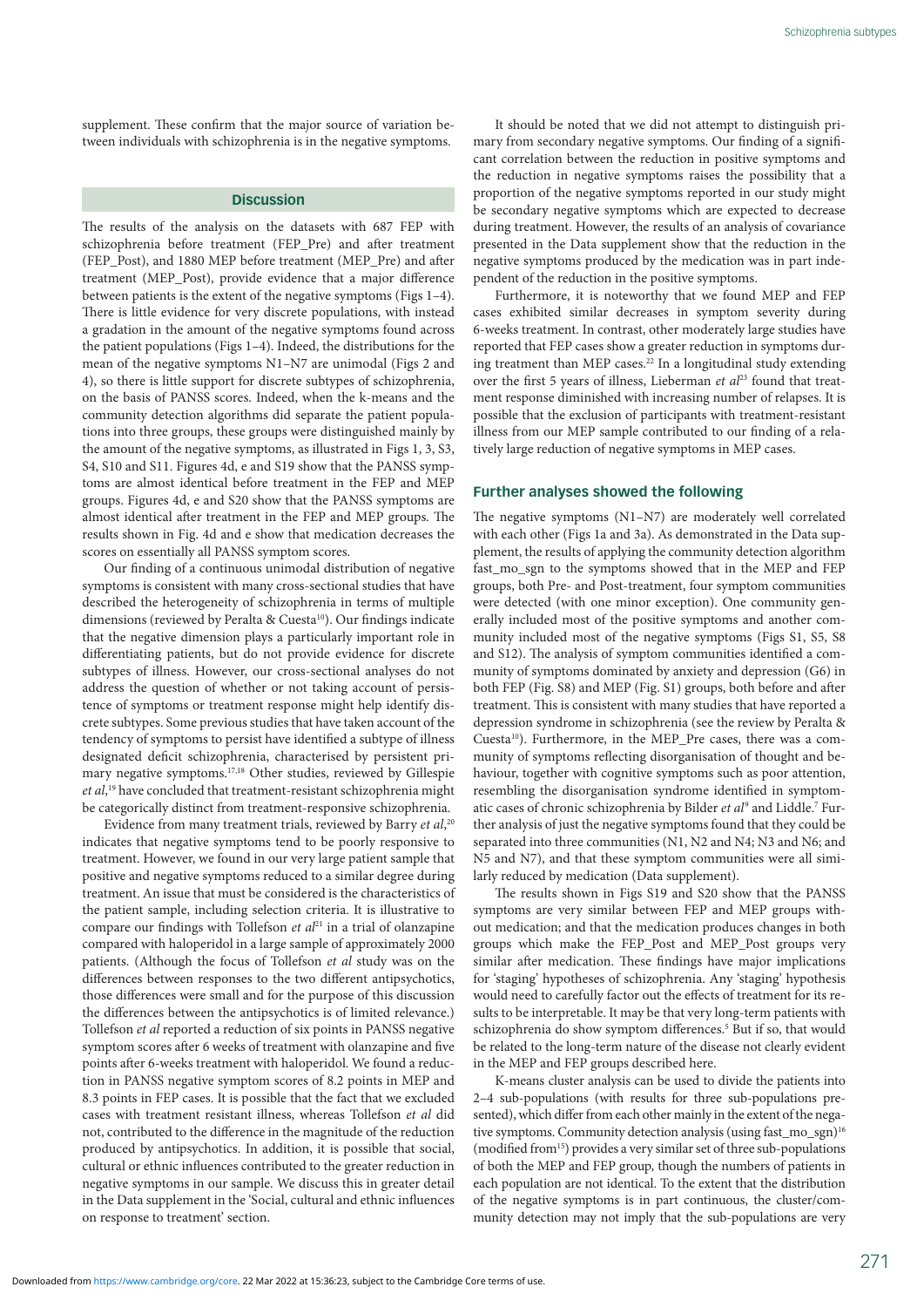supplement. These confirm that the major source of variation between individuals with schizophrenia is in the negative symptoms.

#### **Discussion**

The results of the analysis on the datasets with 687 FEP with schizophrenia before treatment (FEP\_Pre) and after treatment (FEP\_Post), and 1880 MEP before treatment (MEP\_Pre) and after treatment (MEP\_Post), provide evidence that a major difference between patients is the extent of the negative symptoms (Figs 1–4). There is little evidence for very discrete populations, with instead a gradation in the amount of the negative symptoms found across the patient populations (Figs 1–4). Indeed, the distributions for the mean of the negative symptoms N1–N7 are unimodal (Figs 2 and 4), so there is little support for discrete subtypes of schizophrenia, on the basis of PANSS scores. Indeed, when the k-means and the community detection algorithms did separate the patient populations into three groups, these groups were distinguished mainly by the amount of the negative symptoms, as illustrated in Figs 1, 3, S3, S4, S10 and S11. [Figures 4d](#page-7-0), e and S19 show that the PANSS symptoms are almost identical before treatment in the FEP and MEP groups. [Figures 4d](#page-7-0), e and S20 show that the PANSS symptoms are almost identical after treatment in the FEP and MEP groups. The results shown in Fig. 4d and e show that medication decreases the scores on essentially all PANSS symptom scores.

Our finding of a continuous unimodal distribution of negative symptoms is consistent with many cross-sectional studies that have described the heterogeneity of schizophrenia in terms of multiple dimensions (reviewed by Peralta & Cuesta<sup>10</sup>). Our findings indicate that the negative dimension plays a particularly important role in differentiating patients, but do not provide evidence for discrete subtypes of illness. However, our cross-sectional analyses do not address the question of whether or not taking account of persistence of symptoms or treatment response might help identify discrete subtypes. Some previous studies that have taken account of the tendency of symptoms to persist have identified a subtype of illness designated deficit schizophrenia, characterised by persistent primary negative symptoms.<sup>17,18</sup> Other studies, reviewed by Gillespie *et al*, 19 have concluded that treatment-resistant schizophrenia might be categorically distinct from treatment-responsive schizophrenia.

Evidence from many treatment trials, reviewed by Barry *et al*, 20 indicates that negative symptoms tend to be poorly responsive to treatment. However, we found in our very large patient sample that positive and negative symptoms reduced to a similar degree during treatment. An issue that must be considered is the characteristics of the patient sample, including selection criteria. It is illustrative to compare our findings with Tollefson *et al*<sup>21</sup> in a trial of olanzapine compared with haloperidol in a large sample of approximately 2000 patients. (Although the focus of Tollefson *et al* study was on the differences between responses to the two different antipsychotics, those differences were small and for the purpose of this discussion the differences between the antipsychotics is of limited relevance.) Tollefson *et al* reported a reduction of six points in PANSS negative symptom scores after 6 weeks of treatment with olanzapine and five points after 6-weeks treatment with haloperidol. We found a reduction in PANSS negative symptom scores of 8.2 points in MEP and 8.3 points in FEP cases. It is possible that the fact that we excluded cases with treatment resistant illness, whereas Tollefson *et al* did not, contributed to the difference in the magnitude of the reduction produced by antipsychotics. In addition, it is possible that social, cultural or ethnic influences contributed to the greater reduction in negative symptoms in our sample. We discuss this in greater detail in the Data supplement in the 'Social, cultural and ethnic influences on response to treatment' section.

It should be noted that we did not attempt to distinguish primary from secondary negative symptoms. Our finding of a significant correlation between the reduction in positive symptoms and the reduction in negative symptoms raises the possibility that a proportion of the negative symptoms reported in our study might be secondary negative symptoms which are expected to decrease during treatment. However, the results of an analysis of covariance presented in the Data supplement show that the reduction in the negative symptoms produced by the medication was in part independent of the reduction in the positive symptoms.

Furthermore, it is noteworthy that we found MEP and FEP cases exhibited similar decreases in symptom severity during 6-weeks treatment. In contrast, other moderately large studies have reported that FEP cases show a greater reduction in symptoms during treatment than MEP cases.<sup>22</sup> In a longitudinal study extending over the first 5 years of illness, Lieberman *et al*<sup>23</sup> found that treatment response diminished with increasing number of relapses. It is possible that the exclusion of participants with treatment-resistant illness from our MEP sample contributed to our finding of a relatively large reduction of negative symptoms in MEP cases.

#### **Further analyses showed the following**

The negative symptoms (N1–N7) are moderately well correlated with each other (Figs 1a and 3a). As demonstrated in the Data supplement, the results of applying the community detection algorithm fast\_mo\_sgn to the symptoms showed that in the MEP and FEP groups, both Pre- and Post-treatment, four symptom communities were detected (with one minor exception). One community generally included most of the positive symptoms and another community included most of the negative symptoms (Figs S1, S5, S8 and S12). The analysis of symptom communities identified a community of symptoms dominated by anxiety and depression (G6) in both FEP (Fig. S8) and MEP (Fig. S1) groups, both before and after treatment. This is consistent with many studies that have reported a depression syndrome in schizophrenia (see the review by Peralta & Cuesta<sup>10</sup>). Furthermore, in the MEP\_Pre cases, there was a community of symptoms reflecting disorganisation of thought and behaviour, together with cognitive symptoms such as poor attention, resembling the disorganisation syndrome identified in symptomatic cases of chronic schizophrenia by Bilder et al<sup>9</sup> and Liddle.<sup>7</sup> Further analysis of just the negative symptoms found that they could be separated into three communities (N1, N2 and N4; N3 and N6; and N5 and N7), and that these symptom communities were all similarly reduced by medication (Data supplement).

The results shown in Figs S19 and S20 show that the PANSS symptoms are very similar between FEP and MEP groups without medication; and that the medication produces changes in both groups which make the FEP\_Post and MEP\_Post groups very similar after medication. These findings have major implications for 'staging' hypotheses of schizophrenia. Any 'staging' hypothesis would need to carefully factor out the effects of treatment for its results to be interpretable. It may be that very long-term patients with schizophrenia do show symptom differences.<sup>5</sup> But if so, that would be related to the long-term nature of the disease not clearly evident in the MEP and FEP groups described here.

K-means cluster analysis can be used to divide the patients into 2–4 sub-populations (with results for three sub-populations presented), which differ from each other mainly in the extent of the negative symptoms. Community detection analysis (using fast\_mo\_sgn)<sup>16</sup> (modified from15) provides a very similar set of three sub-populations of both the MEP and FEP group, though the numbers of patients in each population are not identical. To the extent that the distribution of the negative symptoms is in part continuous, the cluster/community detection may not imply that the sub-populations are very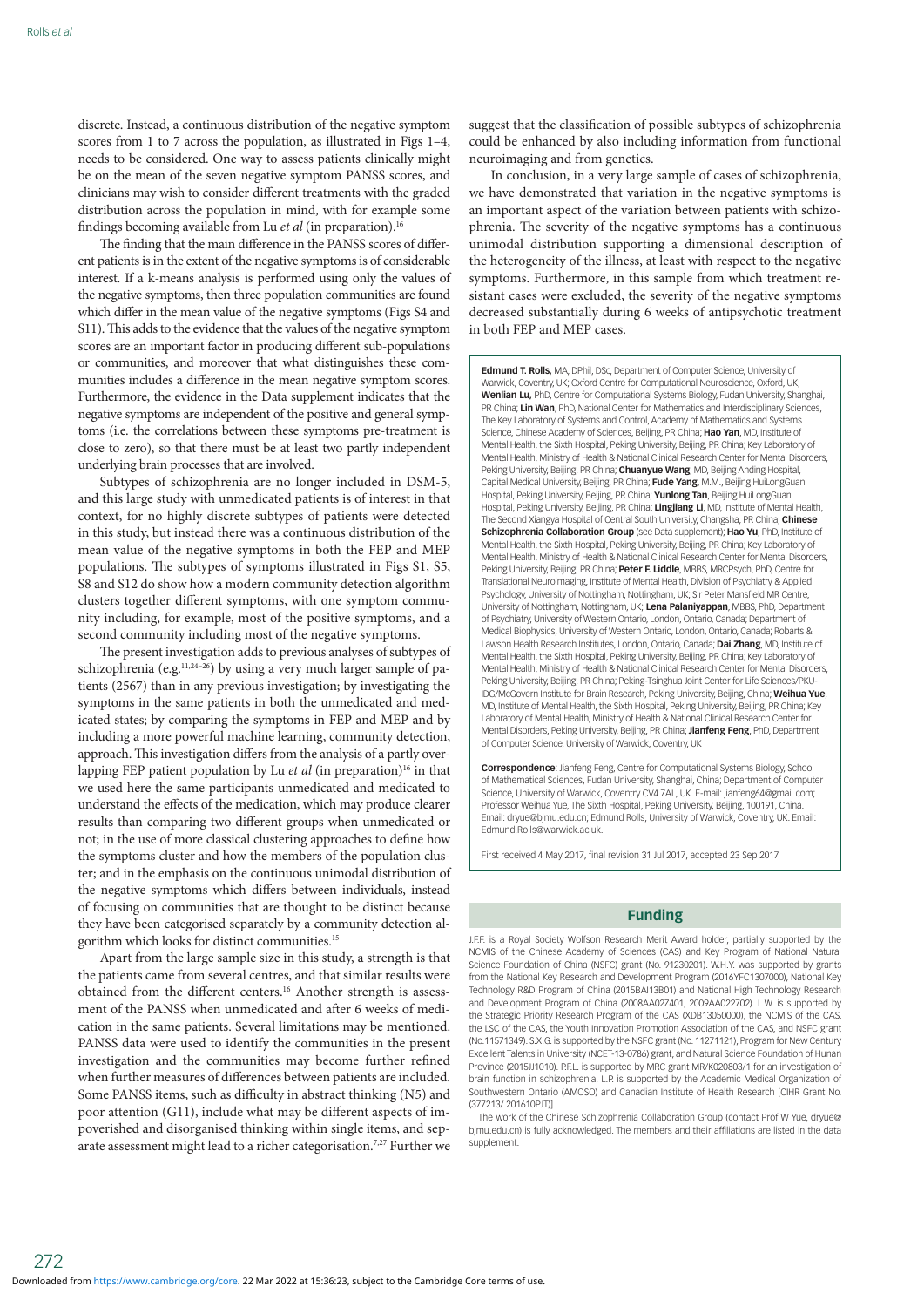discrete. Instead, a continuous distribution of the negative symptom scores from 1 to 7 across the population, as illustrated in Figs 1–4, needs to be considered. One way to assess patients clinically might be on the mean of the seven negative symptom PANSS scores, and clinicians may wish to consider different treatments with the graded distribution across the population in mind, with for example some findings becoming available from Lu *et al* (in preparation).16

The finding that the main difference in the PANSS scores of different patients is in the extent of the negative symptoms is of considerable interest. If a k-means analysis is performed using only the values of the negative symptoms, then three population communities are found which differ in the mean value of the negative symptoms (Figs S4 and S11). This adds to the evidence that the values of the negative symptom scores are an important factor in producing different sub-populations or communities, and moreover that what distinguishes these communities includes a difference in the mean negative symptom scores. Furthermore, the evidence in the Data supplement indicates that the negative symptoms are independent of the positive and general symptoms (i.e. the correlations between these symptoms pre-treatment is close to zero), so that there must be at least two partly independent underlying brain processes that are involved.

Subtypes of schizophrenia are no longer included in DSM-5, and this large study with unmedicated patients is of interest in that context, for no highly discrete subtypes of patients were detected in this study, but instead there was a continuous distribution of the mean value of the negative symptoms in both the FEP and MEP populations. The subtypes of symptoms illustrated in Figs S1, S5, S8 and S12 do show how a modern community detection algorithm clusters together different symptoms, with one symptom community including, for example, most of the positive symptoms, and a second community including most of the negative symptoms.

The present investigation adds to previous analyses of subtypes of schizophrenia (e.g.<sup>11,24-26</sup>) by using a very much larger sample of patients (2567) than in any previous investigation; by investigating the symptoms in the same patients in both the unmedicated and medicated states; by comparing the symptoms in FEP and MEP and by including a more powerful machine learning, community detection, approach. This investigation differs from the analysis of a partly overlapping FEP patient population by Lu *et al* (in preparation)<sup>16</sup> in that we used here the same participants unmedicated and medicated to understand the effects of the medication, which may produce clearer results than comparing two different groups when unmedicated or not; in the use of more classical clustering approaches to define how the symptoms cluster and how the members of the population cluster; and in the emphasis on the continuous unimodal distribution of the negative symptoms which differs between individuals, instead of focusing on communities that are thought to be distinct because they have been categorised separately by a community detection algorithm which looks for distinct communities.15

Apart from the large sample size in this study, a strength is that the patients came from several centres, and that similar results were obtained from the different centers.16 Another strength is assessment of the PANSS when unmedicated and after 6 weeks of medication in the same patients. Several limitations may be mentioned. PANSS data were used to identify the communities in the present investigation and the communities may become further refined when further measures of differences between patients are included. Some PANSS items, such as difficulty in abstract thinking (N5) and poor attention (G11), include what may be different aspects of impoverished and disorganised thinking within single items, and separate assessment might lead to a richer categorisation.<sup>7,27</sup> Further we suggest that the classification of possible subtypes of schizophrenia could be enhanced by also including information from functional neuroimaging and from genetics.

In conclusion, in a very large sample of cases of schizophrenia, we have demonstrated that variation in the negative symptoms is an important aspect of the variation between patients with schizophrenia. The severity of the negative symptoms has a continuous unimodal distribution supporting a dimensional description of the heterogeneity of the illness, at least with respect to the negative symptoms. Furthermore, in this sample from which treatment resistant cases were excluded, the severity of the negative symptoms decreased substantially during 6 weeks of antipsychotic treatment in both FEP and MEP cases.

**Edmund T. Rolls,** MA, DPhil, DSc, Department of Computer Science, University of Warwick, Coventry, UK; Oxford Centre for Computational Neuroscience, Oxford, UK; **Wenlian Lu,** PhD, Centre for Computational Systems Biology, Fudan University, Shanghai, PR China; **Lin Wan**, PhD, National Center for Mathematics and Interdisciplinary Sciences, The Key Laboratory of Systems and Control, Academy of Mathematics and Systems Science, Chinese Academy of Sciences, Beijing, PR China; **Hao Yan**, MD, Institute of Mental Health, the Sixth Hospital, Peking University, Beijing, PR China; Key Laboratory of Mental Health, Ministry of Health & National Clinical Research Center for Mental Disorders, Peking University, Beijing, PR China; **Chuanyue Wang**, MD, Beijing Anding Hospital, Capital Medical University, Beijing, PR China; **Fude Yang**, M.M., Beijing HuiLongGuan Hospital, Peking University, Beijing, PR China; **Yunlong Tan**, Beijing HuiLongGuan Hospital, Peking University, Beijing, PR China; **Lingjiang Li**, MD, Institute of Mental Health, The Second Xiangya Hospital of Central South University, Changsha, PR China; **Chinese Schizophrenia Collaboration Group** (see Data supplement); **Hao Yu**, PhD, Institute of Mental Health, the Sixth Hospital, Peking University, Beijing, PR China; Key Laboratory of Mental Health, Ministry of Health & National Clinical Research Center for Mental Disorders, Peking University, Beijing, PR China; **Peter F. Liddle**, MBBS, MRCPsych, PhD, Centre for Translational Neuroimaging, Institute of Mental Health, Division of Psychiatry & Applied Psychology, University of Nottingham, Nottingham, UK; Sir Peter Mansfield MR Centre, University of Nottingham, Nottingham, UK; **Lena Palaniyappan**, MBBS, PhD, Department of Psychiatry, University of Western Ontario, London, Ontario, Canada; Department of Medical Biophysics, University of Western Ontario, London, Ontario, Canada; Robarts & Lawson Health Research Institutes, London, Ontario, Canada; **Dai Zhang**, MD, Institute of Mental Health, the Sixth Hospital, Peking University, Beijing, PR China; Key Laboratory of Mental Health, Ministry of Health & National Clinical Research Center for Mental Disorders, Peking University, Beijing, PR China; Peking-Tsinghua Joint Center for Life Sciences/PKU-IDG/McGovern Institute for Brain Research, Peking University, Beijing, China; **Weihua Yue**, MD, Institute of Mental Health, the Sixth Hospital, Peking University, Beijing, PR China; Key Laboratory of Mental Health, Ministry of Health & National Clinical Research Center for Mental Disorders, Peking University, Beijing, PR China; **Jianfeng Feng**, PhD, Department of Computer Science, University of Warwick, Coventry, UK

**Correspondence:** Jianfeng Feng, Centre for Computational Systems Biology, School of Mathematical Sciences, Fudan University, Shanghai, China; Department of Computer Science, University of Warwick, Coventry CV4 7AL, UK. E-mail: [jianfeng64@gmail.com](mailto:jianfeng64@gmail.com); Professor Weihua Yue, The Sixth Hospital, Peking University, Beijing, 100191, China. Email: [dryue@bjmu.edu.cn](mailto:dryue@bjmu.edu.cn); Edmund Rolls, University of Warwick, Coventry, UK. Email: [Edmund.Rolls@warwick.ac.uk](mailto:Edmund.Rolls@warwick.ac.uk).

First received 4 May 2017, final revision 31 Jul 2017, accepted 23 Sep 2017

# **Funding**

J.F.F. is a Royal Society Wolfson Research Merit Award holder, partially supported by the NCMIS of the Chinese Academy of Sciences (CAS) and Key Program of National Natural Science Foundation of China (NSFC) grant (No. 91230201). W.H.Y. was supported by grants from the National Key Research and Development Program (2016YFC1307000), National Key Technology R&D Program of China (2015BAI13B01) and National High Technology Research and Development Program of China (2008AA02Z401, 2009AA022702). L.W. is supported by the Strategic Priority Research Program of the CAS (XDB13050000), the NCMIS of the CAS, the LSC of the CAS, the Youth Innovation Promotion Association of the CAS, and NSFC grant (No.11571349). S.X.G. is supported by the NSFC grant (No. 11271121), Program for New Century Excellent Talents in University (NCET-13-0786) grant, and Natural Science Foundation of Hunan Province (2015JJ1010). P.F.L. is supported by MRC grant MR/K020803/1 for an investigation of brain function in schizophrenia. L.P. is supported by the Academic Medical Organization of Southwestern Ontario (AMOSO) and Canadian Institute of Health Research [CIHR Grant No. (377213/ 201610PJT)].

The work of the Chinese Schizophrenia Collaboration Group (contact Prof W Yue, [dryue@](mailto:dryue@bjmu.edu.cn) [bjmu.edu.cn\)](mailto:dryue@bjmu.edu.cn) is fully acknowledged. The members and their affiliations are listed in the data supplement.

272